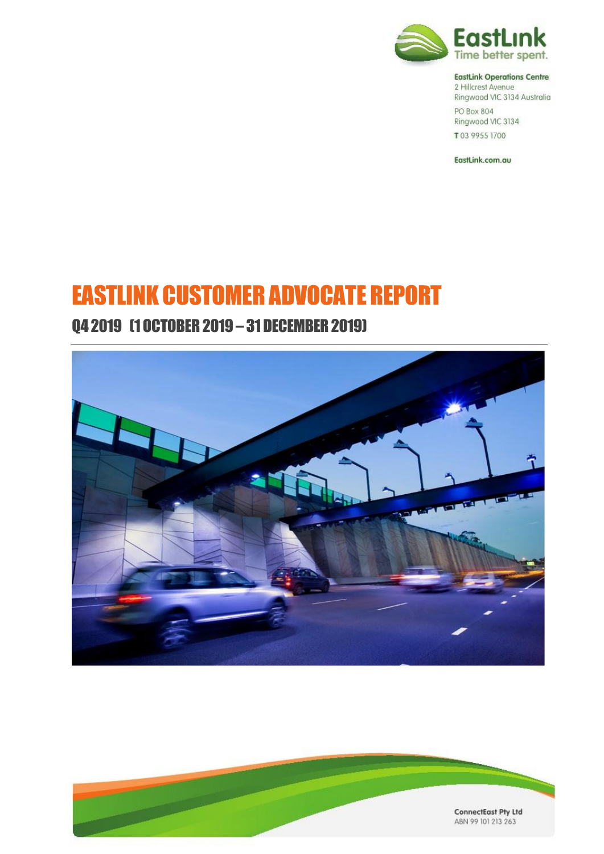

#### **EastLink Operations Centre**

2 Hillcrest Avenue Ringwood VIC 3134 Australia PO Box 804 Ringwood VIC 3134 T03 9955 1700

EastLink.com.au

# EASTLINK CUSTOMER ADVOCATE REPORT

## Q4 2019 (1 OCTOBER 2019 – 31 DECEMBER 2019)



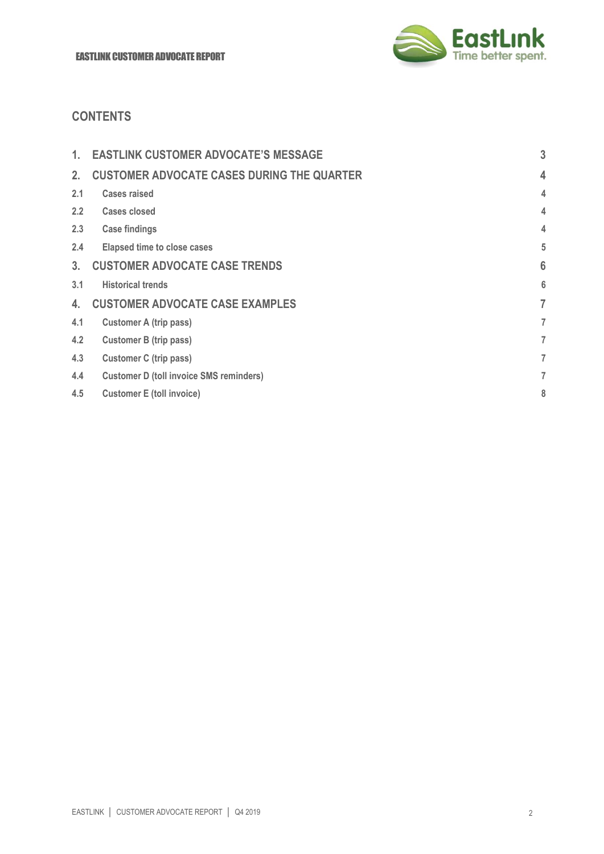

## **CONTENTS**

| 1.  | <b>EASTLINK CUSTOMER ADVOCATE'S MESSAGE</b>       | 3               |
|-----|---------------------------------------------------|-----------------|
| 2.  | <b>CUSTOMER ADVOCATE CASES DURING THE QUARTER</b> | 4               |
| 2.1 | <b>Cases raised</b>                               | 4               |
| 2.2 | <b>Cases closed</b>                               | 4               |
| 2.3 | <b>Case findings</b>                              | 4               |
| 2.4 | <b>Elapsed time to close cases</b>                | 5               |
| 3.  | <b>CUSTOMER ADVOCATE CASE TRENDS</b>              | $6\phantom{1}6$ |
| 3.1 | <b>Historical trends</b>                          | 6               |
| 4.  | <b>CUSTOMER ADVOCATE CASE EXAMPLES</b>            | 7               |
| 4.1 | <b>Customer A (trip pass)</b>                     | 7               |
| 4.2 | <b>Customer B (trip pass)</b>                     | 7               |
| 4.3 | <b>Customer C (trip pass)</b>                     | 7               |
| 4.4 | <b>Customer D (toll invoice SMS reminders)</b>    | 7               |
| 4.5 | <b>Customer E (toll invoice)</b>                  | 8               |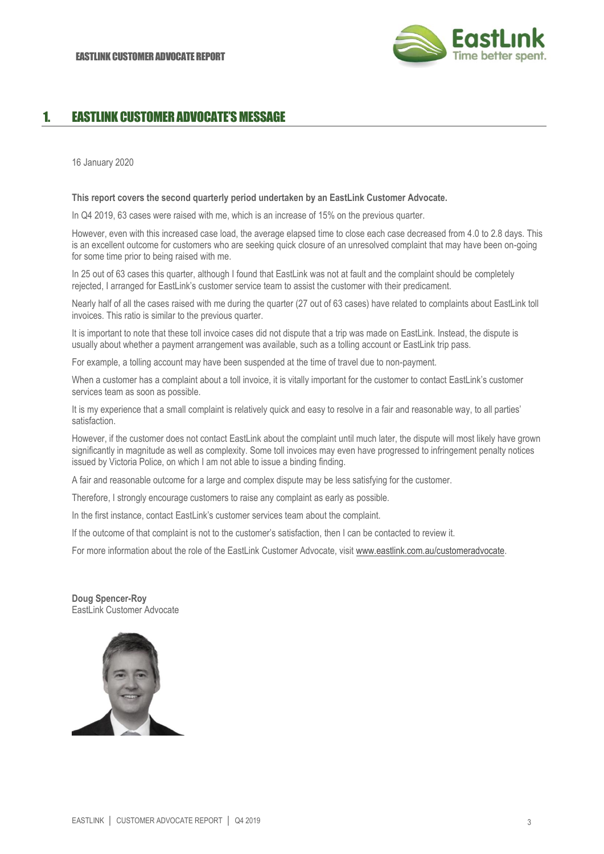

## 1. EASTLINK CUSTOMER ADVOCATE'S MESSAGE

16 January 2020

#### **This report covers the second quarterly period undertaken by an EastLink Customer Advocate.**

In Q4 2019, 63 cases were raised with me, which is an increase of 15% on the previous quarter.

However, even with this increased case load, the average elapsed time to close each case decreased from 4.0 to 2.8 days. This is an excellent outcome for customers who are seeking quick closure of an unresolved complaint that may have been on-going for some time prior to being raised with me.

In 25 out of 63 cases this quarter, although I found that EastLink was not at fault and the complaint should be completely rejected, I arranged for EastLink's customer service team to assist the customer with their predicament.

Nearly half of all the cases raised with me during the quarter (27 out of 63 cases) have related to complaints about EastLink toll invoices. This ratio is similar to the previous quarter.

It is important to note that these toll invoice cases did not dispute that a trip was made on EastLink. Instead, the dispute is usually about whether a payment arrangement was available, such as a tolling account or EastLink trip pass.

For example, a tolling account may have been suspended at the time of travel due to non-payment.

When a customer has a complaint about a toll invoice, it is vitally important for the customer to contact EastLink's customer services team as soon as possible.

It is my experience that a small complaint is relatively quick and easy to resolve in a fair and reasonable way, to all parties' satisfaction.

However, if the customer does not contact EastLink about the complaint until much later, the dispute will most likely have grown significantly in magnitude as well as complexity. Some toll invoices may even have progressed to infringement penalty notices issued by Victoria Police, on which I am not able to issue a binding finding.

A fair and reasonable outcome for a large and complex dispute may be less satisfying for the customer.

Therefore, I strongly encourage customers to raise any complaint as early as possible.

In the first instance, contact EastLink's customer services team about the complaint.

If the outcome of that complaint is not to the customer's satisfaction, then I can be contacted to review it.

For more information about the role of the EastLink Customer Advocate, visit [www.eastlink.com.au/customeradvocate.](http://www.eastlink.com.au/customeradvocate) 

**Doug Spencer-Roy** EastLink Customer Advocate

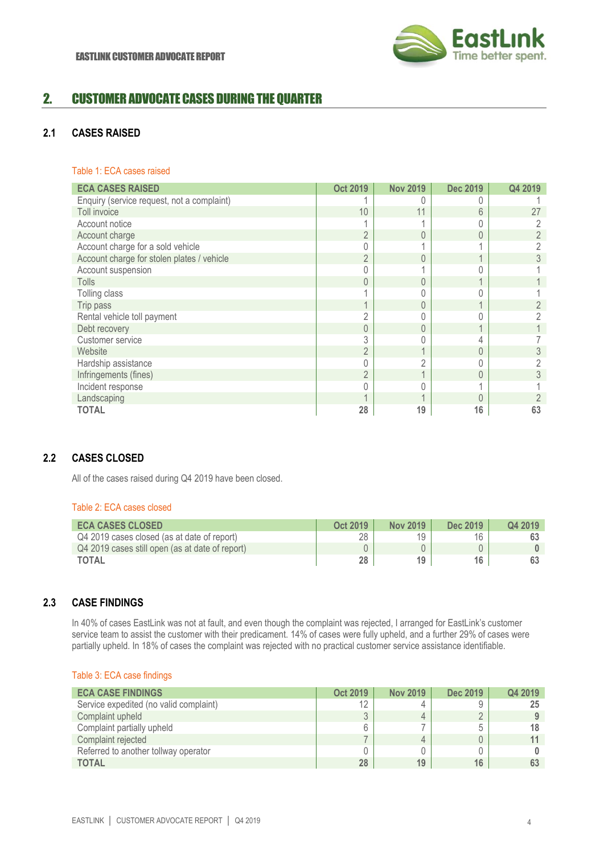

## 2. CUSTOMER ADVOCATE CASES DURING THE QUARTER

## **2.1 CASES RAISED**

### Table 1: ECA cases raised

| <b>ECA CASES RAISED</b>                    | <b>Oct 2019</b> | <b>Nov 2019</b> | <b>Dec 2019</b> | Q4 2019 |
|--------------------------------------------|-----------------|-----------------|-----------------|---------|
| Enquiry (service request, not a complaint) |                 |                 |                 |         |
| Toll invoice                               | 10              | 11              | 6               | 27      |
| Account notice                             |                 |                 |                 |         |
| Account charge                             | $\overline{2}$  |                 |                 |         |
| Account charge for a sold vehicle          | 0               |                 |                 |         |
| Account charge for stolen plates / vehicle | $\overline{2}$  |                 |                 |         |
| Account suspension                         | 0               |                 |                 |         |
| <b>Tolls</b>                               | $\overline{0}$  | 0               |                 |         |
| Tolling class                              |                 |                 |                 |         |
| Trip pass                                  | 4               |                 |                 |         |
| Rental vehicle toll payment                | $\overline{2}$  |                 |                 |         |
| Debt recovery                              | 0               |                 |                 |         |
| Customer service                           | 3               |                 |                 |         |
| Website                                    | $\overline{2}$  |                 | 0               |         |
| Hardship assistance                        | 0               |                 |                 |         |
| Infringements (fines)                      | $\overline{2}$  |                 |                 |         |
| Incident response                          | 0               |                 |                 |         |
| Landscaping                                |                 |                 |                 |         |
| <b>TOTAL</b>                               | 28              | 19              | 16              | 63      |

## **2.2 CASES CLOSED**

All of the cases raised during Q4 2019 have been closed.

## Table 2: ECA cases closed

| <b>ECA CASES CLOSED</b>                         | Oct 2019 | <b>Nov 2019</b> | Dec 2019 | Q4 2019 |
|-------------------------------------------------|----------|-----------------|----------|---------|
| Q4 2019 cases closed (as at date of report)     | 28       | 10              | 16       |         |
| Q4 2019 cases still open (as at date of report) |          |                 |          |         |
| <b>TOTAL</b>                                    | 28       | 19              | 16       |         |

## **2.3 CASE FINDINGS**

In 40% of cases EastLink was not at fault, and even though the complaint was rejected, I arranged for EastLink's customer service team to assist the customer with their predicament. 14% of cases were fully upheld, and a further 29% of cases were partially upheld. In 18% of cases the complaint was rejected with no practical customer service assistance identifiable.

|  |  |  | Table 3: ECA case findings |
|--|--|--|----------------------------|
|--|--|--|----------------------------|

| <b>ECA CASE FINDINGS</b>               | <b>Oct 2019</b> | <b>Nov 2019</b> | <b>Dec 2019</b> | Q4 2019 |
|----------------------------------------|-----------------|-----------------|-----------------|---------|
| Service expedited (no valid complaint) | 12              |                 |                 | 25      |
| Complaint upheld                       |                 |                 |                 |         |
| Complaint partially upheld             |                 |                 |                 | 18      |
| Complaint rejected                     |                 |                 |                 |         |
| Referred to another tollway operator   |                 |                 |                 |         |
| <b>TOTAL</b>                           | 28              | 19              | 16              |         |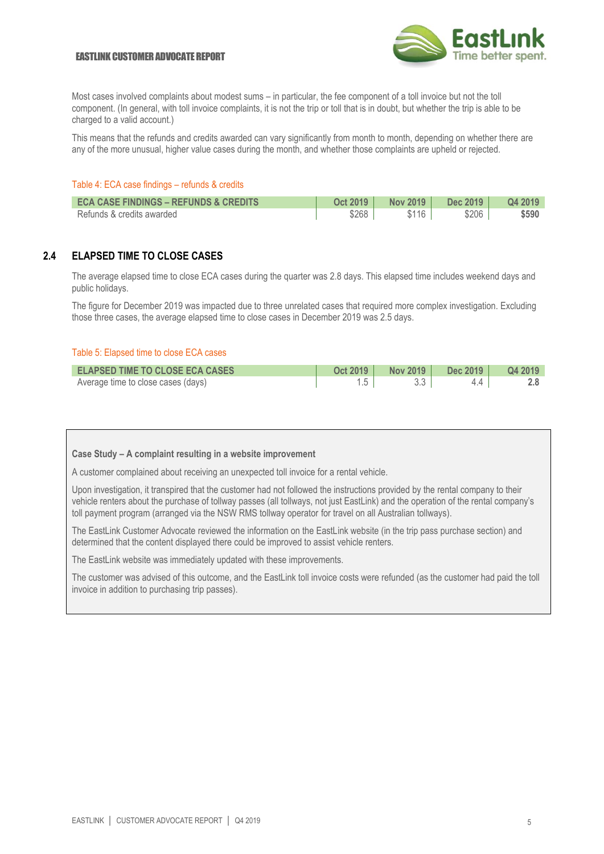#### **FASTLINK CUSTOMER ADVOCATE REPORT**



Most cases involved complaints about modest sums – in particular, the fee component of a toll invoice but not the toll component. (In general, with toll invoice complaints, it is not the trip or toll that is in doubt, but whether the trip is able to be charged to a valid account.)

This means that the refunds and credits awarded can vary significantly from month to month, depending on whether there are any of the more unusual, higher value cases during the month, and whether those complaints are upheld or rejected.

#### Table 4: ECA case findings – refunds & credits

| <b>ECA CASE FINDINGS - REFUNDS &amp; CREDITS</b> | <b>Oct 2019</b> | <b>Nov 2019</b> | Dec 2019 | Q4 2019 |
|--------------------------------------------------|-----------------|-----------------|----------|---------|
| Refunds & credits awarded                        | \$268           | \$116           | \$206    | \$590   |

### **2.4 ELAPSED TIME TO CLOSE CASES**

The average elapsed time to close ECA cases during the quarter was 2.8 days. This elapsed time includes weekend days and public holidays.

The figure for December 2019 was impacted due to three unrelated cases that required more complex investigation. Excluding those three cases, the average elapsed time to close cases in December 2019 was 2.5 days.

#### Table 5: Elapsed time to close ECA cases

| <b>ELAPSED TIME TO CLOSE ECA CASES</b> | Oct 2019 | Nov 2019 | Dec 2019 | Q4 2019 |
|----------------------------------------|----------|----------|----------|---------|
| Average time to close cases (days)     |          |          |          |         |

#### **Case Study – A complaint resulting in a website improvement**

A customer complained about receiving an unexpected toll invoice for a rental vehicle.

Upon investigation, it transpired that the customer had not followed the instructions provided by the rental company to their vehicle renters about the purchase of tollway passes (all tollways, not just EastLink) and the operation of the rental company's toll payment program (arranged via the NSW RMS tollway operator for travel on all Australian tollways).

The EastLink Customer Advocate reviewed the information on the EastLink website (in the trip pass purchase section) and determined that the content displayed there could be improved to assist vehicle renters.

The EastLink website was immediately updated with these improvements.

The customer was advised of this outcome, and the EastLink toll invoice costs were refunded (as the customer had paid the toll invoice in addition to purchasing trip passes).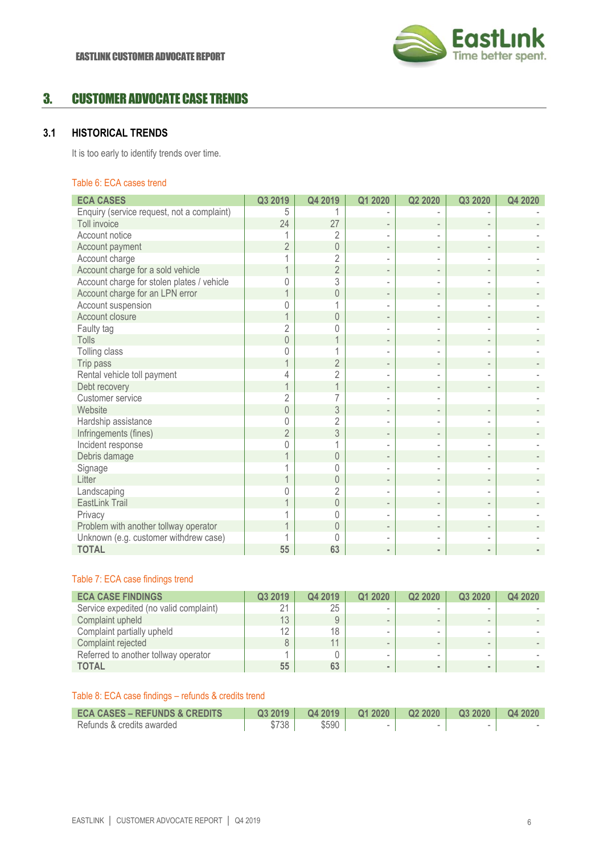

## 3. CUSTOMER ADVOCATE CASE TRENDS

## **3.1 HISTORICAL TRENDS**

It is too early to identify trends over time.

#### Table 6: ECA cases trend

| <b>ECA CASES</b>                           | Q3 2019        | Q4 2019        | Q1 2020 | Q2 2020           | Q3 2020 | Q4 2020 |
|--------------------------------------------|----------------|----------------|---------|-------------------|---------|---------|
| Enquiry (service request, not a complaint) | 5              |                |         |                   |         |         |
| Toll invoice                               | 24             | 27             |         |                   |         |         |
| Account notice                             |                | 2              |         |                   |         |         |
| Account payment                            | $\overline{2}$ | $\mathbf 0$    |         |                   |         |         |
| Account charge                             |                | $\overline{2}$ |         |                   |         |         |
| Account charge for a sold vehicle          |                | $\overline{2}$ |         |                   |         |         |
| Account charge for stolen plates / vehicle | 0              | 3              |         |                   |         |         |
| Account charge for an LPN error            |                | $\mathbf 0$    |         |                   |         |         |
| Account suspension                         |                |                |         |                   |         |         |
| Account closure                            |                | $\theta$       |         |                   |         |         |
| Faulty tag                                 | $\overline{2}$ | 0              |         |                   |         |         |
| Tolls                                      | 0              |                |         | $\qquad \qquad -$ |         |         |
| Tolling class                              |                | 1              |         |                   |         |         |
| Trip pass                                  |                | $\overline{2}$ |         |                   |         |         |
| Rental vehicle toll payment                |                | $\overline{2}$ |         |                   |         |         |
| Debt recovery                              |                | $\overline{1}$ |         |                   |         |         |
| Customer service                           | $\overline{2}$ |                |         |                   |         |         |
| Website                                    | $\overline{0}$ | 3              |         |                   |         |         |
| Hardship assistance                        | 0              | $\overline{2}$ |         |                   |         |         |
| Infringements (fines)                      | $\overline{2}$ | 3              |         |                   |         |         |
| Incident response                          |                |                |         |                   |         |         |
| Debris damage                              |                | $\theta$       |         | $\qquad \qquad -$ |         |         |
| Signage                                    |                | $\Omega$       |         |                   |         |         |
| Litter                                     |                | $\theta$       |         |                   |         |         |
| Landscaping                                |                | $\overline{2}$ |         |                   |         |         |
| EastLink Trail                             |                | $\mathbf 0$    |         |                   |         |         |
| Privacy                                    |                | $\Omega$       |         |                   |         |         |
| Problem with another tollway operator      |                | $\theta$       |         |                   |         |         |
| Unknown (e.g. customer withdrew case)      |                | $\Omega$       |         |                   |         |         |
| <b>TOTAL</b>                               | 55             | 63             |         |                   |         |         |

#### Table 7: ECA case findings trend

| <b>ECA CASE FINDINGS</b>               | Q3 2019 | Q4 2019 | Q1 2020 | Q2 2020 | Q3 2020 | Q4 2020 |
|----------------------------------------|---------|---------|---------|---------|---------|---------|
| Service expedited (no valid complaint) | 21      | 25      |         |         |         |         |
| Complaint upheld                       | 13      | 9       |         |         |         |         |
| Complaint partially upheld             | 12      | 18      |         |         |         |         |
| Complaint rejected                     |         | 11      |         |         |         |         |
| Referred to another tollway operator   |         |         |         |         |         |         |
| <b>TOTAL</b>                           | 55      | 63      |         |         |         |         |

#### Table 8: ECA case findings – refunds & credits trend

| <b>ECA CASES – REFUNDS &amp; CREDITS</b> | Q32019 | Q42019 | Q12020 | Q22020 | Q32020 | Q4 2020 |
|------------------------------------------|--------|--------|--------|--------|--------|---------|
| Refunds & credits awarded                | \$738  | \$590  |        | $\sim$ |        |         |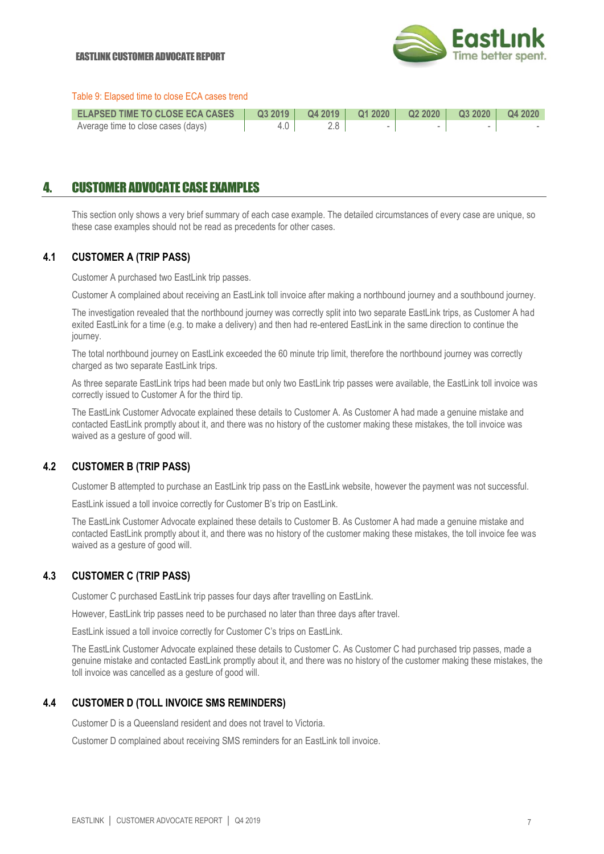

#### Table 9: Elapsed time to close ECA cases trend

| ELAPSED TIME TO CLOSE ECA CASES    |  |  |  |
|------------------------------------|--|--|--|
| Average time to close cases (days) |  |  |  |

## 4. CUSTOMER ADVOCATE CASE EXAMPLES

This section only shows a very brief summary of each case example. The detailed circumstances of every case are unique, so these case examples should not be read as precedents for other cases.

#### **4.1 CUSTOMER A (TRIP PASS)**

Customer A purchased two EastLink trip passes.

Customer A complained about receiving an EastLink toll invoice after making a northbound journey and a southbound journey.

The investigation revealed that the northbound journey was correctly split into two separate EastLink trips, as Customer A had exited EastLink for a time (e.g. to make a delivery) and then had re-entered EastLink in the same direction to continue the journey.

The total northbound journey on EastLink exceeded the 60 minute trip limit, therefore the northbound journey was correctly charged as two separate EastLink trips.

As three separate EastLink trips had been made but only two EastLink trip passes were available, the EastLink toll invoice was correctly issued to Customer A for the third tip.

The EastLink Customer Advocate explained these details to Customer A. As Customer A had made a genuine mistake and contacted EastLink promptly about it, and there was no history of the customer making these mistakes, the toll invoice was waived as a gesture of good will.

## **4.2 CUSTOMER B (TRIP PASS)**

Customer B attempted to purchase an EastLink trip pass on the EastLink website, however the payment was not successful.

EastLink issued a toll invoice correctly for Customer B's trip on EastLink.

The EastLink Customer Advocate explained these details to Customer B. As Customer A had made a genuine mistake and contacted EastLink promptly about it, and there was no history of the customer making these mistakes, the toll invoice fee was waived as a gesture of good will.

## **4.3 CUSTOMER C (TRIP PASS)**

Customer C purchased EastLink trip passes four days after travelling on EastLink.

However, EastLink trip passes need to be purchased no later than three days after travel.

EastLink issued a toll invoice correctly for Customer C's trips on EastLink.

The EastLink Customer Advocate explained these details to Customer C. As Customer C had purchased trip passes, made a genuine mistake and contacted EastLink promptly about it, and there was no history of the customer making these mistakes, the toll invoice was cancelled as a gesture of good will.

#### **4.4 CUSTOMER D (TOLL INVOICE SMS REMINDERS)**

Customer D is a Queensland resident and does not travel to Victoria.

Customer D complained about receiving SMS reminders for an EastLink toll invoice.